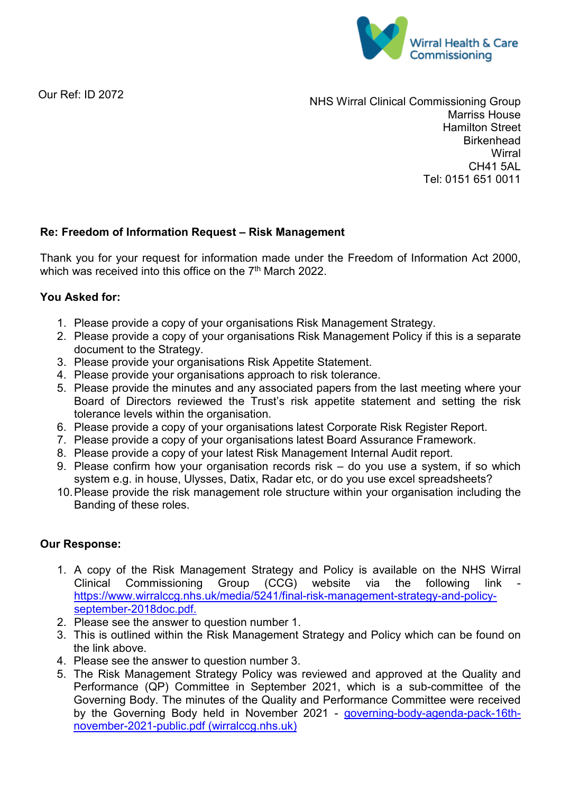

Our Ref: ID 2072

NHS Wirral Clinical Commissioning Group Marriss House Hamilton Street **Birkenhead Wirral** CH41 5AL Tel: 0151 651 0011

## **Re: Freedom of Information Request – Risk Management**

Thank you for your request for information made under the Freedom of Information Act 2000, which was received into this office on the 7<sup>th</sup> March 2022.

## **You Asked for:**

- 1. Please provide a copy of your organisations Risk Management Strategy.
- 2. Please provide a copy of your organisations Risk Management Policy if this is a separate document to the Strategy.
- 3. Please provide your organisations Risk Appetite Statement.
- 4. Please provide your organisations approach to risk tolerance.
- 5. Please provide the minutes and any associated papers from the last meeting where your Board of Directors reviewed the Trust's risk appetite statement and setting the risk tolerance levels within the organisation.
- 6. Please provide a copy of your organisations latest Corporate Risk Register Report.
- 7. Please provide a copy of your organisations latest Board Assurance Framework.
- 8. Please provide a copy of your latest Risk Management Internal Audit report.
- 9. Please confirm how your organisation records risk do you use a system, if so which system e.g. in house, Ulysses, Datix, Radar etc, or do you use excel spreadsheets?
- 10.Please provide the risk management role structure within your organisation including the Banding of these roles.

## **Our Response:**

- 1. A copy of the Risk Management Strategy and Policy is available on the NHS Wirral<br>Clinical Commissioning Group (CCG) website via the following link -Clinical Commissioning [https://www.wirralccg.nhs.uk/media/5241/final-risk-management-strategy-and-policy](https://www.wirralccg.nhs.uk/media/5241/final-risk-management-strategy-and-policy-september-2018doc.pdf)[september-2018doc.pdf.](https://www.wirralccg.nhs.uk/media/5241/final-risk-management-strategy-and-policy-september-2018doc.pdf)
- 2. [Please](https://www.wirralccg.nhs.uk/media/5241/final-risk-management-strategy-and-policy-september-2018doc.pdf) see the answer to question number 1.
- 3. This is outlined within the Risk Management Strategy and Policy which can be found on the link above.
- 4. Please see the answer to question number 3.
- 5. The Risk Management Strategy Policy was reviewed and approved at the Quality and Performance (QP) Committee in September 2021, which is a sub-committee of the Governing Body. The minutes of the Quality and Performance Committee were received by the Governing Body held in November 2021 - [governing-body-agenda-pack-16th](https://www.wirralccg.nhs.uk/media/9076/governing-body-agenda-pack-16th-november-2021-public.pdf)[november-2021-public.pdf \(wirralccg.nhs.uk\)](https://www.wirralccg.nhs.uk/media/9076/governing-body-agenda-pack-16th-november-2021-public.pdf)